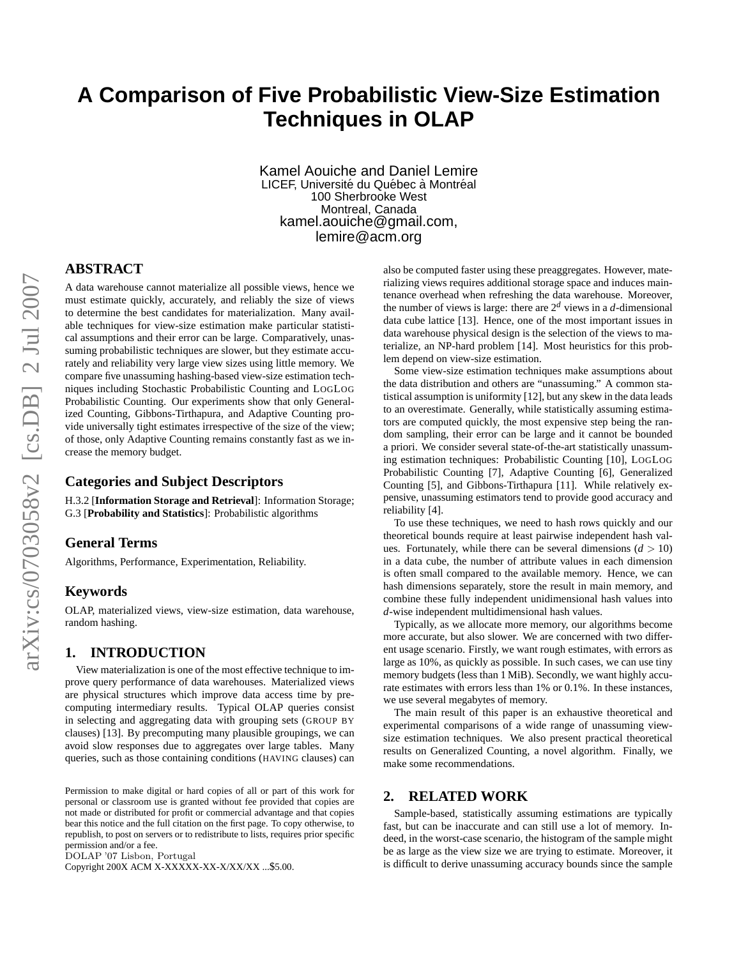# **A Comparison of Five Probabilistic View-Size Estimation Techniques in OLAP**

Kamel Aouiche and Daniel Lemire LICEF, Université du Québec à Montréal 100 Sherbrooke West Montreal, Canada kamel.aouiche@gmail.com, lemire@acm.org

# **ABSTRACT**

A data warehouse cannot materialize all possible views, hence we must estimate quickly, accurately, and reliably the size of views to determine the best candidates for materialization. Many available techniques for view-size estimation make particular statistical assumptions and their error can be large. Comparatively, unassuming probabilistic techniques are slower, but they estimate accurately and reliability very large view sizes using little memory. We compare five unassuming hashing-based view-size estimation techniques including Stochastic Probabilistic Counting and LOGLOG Probabilistic Counting. Our experiments show that only Generalized Counting, Gibbons-Tirthapura, and Adaptive Counting provide universally tight estimates irrespective of the size of the view; of those, only Adaptive Counting remains constantly fast as we increase the memory budget.

## **Categories and Subject Descriptors**

H.3.2 [**Information Storage and Retrieval**]: Information Storage; G.3 [**Probability and Statistics**]: Probabilistic algorithms

## **General Terms**

Algorithms, Performance, Experimentation, Reliability.

# **Keywords**

OLAP, materialized views, view-size estimation, data warehouse, random hashing.

## **1. INTRODUCTION**

View materialization is one of the most effective technique to improve query performance of data warehouses. Materialized views are physical structures which improve data access time by precomputing intermediary results. Typical OLAP queries consist in selecting and aggregating data with grouping sets (GROUP BY clauses) [13]. By precomputing many plausible groupings, we can avoid slow responses due to aggregates over large tables. Many queries, such as those containing conditions (HAVING clauses) can

DOLAP '07 Lisbon, Portugal

Copyright 200X ACM X-XXXXX-XX-X/XX/XX ...\$5.00.

also be computed faster using these preaggregates. However, materializing views requires additional storage space and induces maintenance overhead when refreshing the data warehouse. Moreover, the number of views is large: there are  $2<sup>d</sup>$  views in a *d*-dimensional data cube lattice [13]. Hence, one of the most important issues in data warehouse physical design is the selection of the views to materialize, an NP-hard problem [14]. Most heuristics for this problem depend on view-size estimation.

Some view-size estimation techniques make assumptions about the data distribution and others are "unassuming." A common statistical assumption is uniformity [12], but any skew in the data leads to an overestimate. Generally, while statistically assuming estimators are computed quickly, the most expensive step being the random sampling, their error can be large and it cannot be bounded a priori. We consider several state-of-the-art statistically unassuming estimation techniques: Probabilistic Counting [10], LOGLOG Probabilistic Counting [7], Adaptive Counting [6], Generalized Counting [5], and Gibbons-Tirthapura [11]. While relatively expensive, unassuming estimators tend to provide good accuracy and reliability [4].

To use these techniques, we need to hash rows quickly and our theoretical bounds require at least pairwise independent hash values. Fortunately, while there can be several dimensions  $(d > 10)$ in a data cube, the number of attribute values in each dimension is often small compared to the available memory. Hence, we can hash dimensions separately, store the result in main memory, and combine these fully independent unidimensional hash values into *d*-wise independent multidimensional hash values.

Typically, as we allocate more memory, our algorithms become more accurate, but also slower. We are concerned with two different usage scenario. Firstly, we want rough estimates, with errors as large as 10%, as quickly as possible. In such cases, we can use tiny memory budgets (less than 1 MiB). Secondly, we want highly accurate estimates with errors less than 1% or 0.1%. In these instances, we use several megabytes of memory.

The main result of this paper is an exhaustive theoretical and experimental comparisons of a wide range of unassuming viewsize estimation techniques. We also present practical theoretical results on Generalized Counting, a novel algorithm. Finally, we make some recommendations.

#### **2. RELATED WORK**

Sample-based, statistically assuming estimations are typically fast, but can be inaccurate and can still use a lot of memory. Indeed, in the worst-case scenario, the histogram of the sample might be as large as the view size we are trying to estimate. Moreover, it is difficult to derive unassuming accuracy bounds since the sample

Permission to make digital or hard copies of all or part of this work for personal or classroom use is granted without fee provided that copies are not made or distributed for profit or commercial advantage and that copies bear this notice and the full citation on the first page. To copy otherwise, to republish, to post on servers or to redistribute to lists, requires prior specific permission and/or a fee.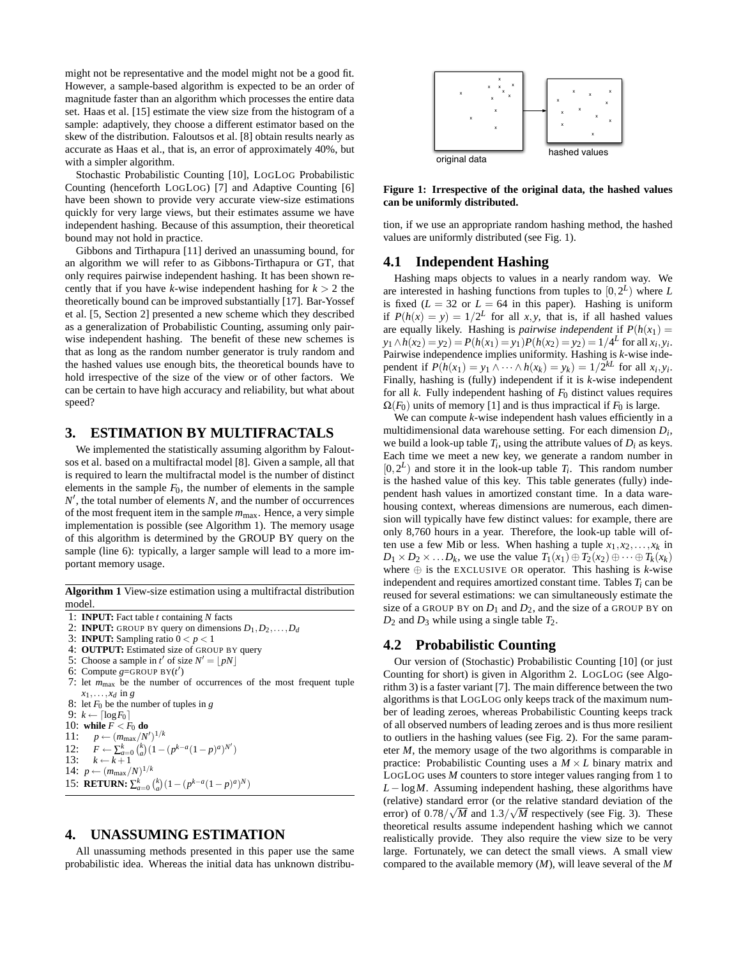might not be representative and the model might not be a good fit. However, a sample-based algorithm is expected to be an order of magnitude faster than an algorithm which processes the entire data set. Haas et al. [15] estimate the view size from the histogram of a sample: adaptively, they choose a different estimator based on the skew of the distribution. Faloutsos et al. [8] obtain results nearly as accurate as Haas et al., that is, an error of approximately 40%, but with a simpler algorithm.

Stochastic Probabilistic Counting [10], LOGLOG Probabilistic Counting (henceforth LOGLOG) [7] and Adaptive Counting [6] have been shown to provide very accurate view-size estimations quickly for very large views, but their estimates assume we have independent hashing. Because of this assumption, their theoretical bound may not hold in practice.

Gibbons and Tirthapura [11] derived an unassuming bound, for an algorithm we will refer to as Gibbons-Tirthapura or GT, that only requires pairwise independent hashing. It has been shown recently that if you have *k*-wise independent hashing for  $k > 2$  the theoretically bound can be improved substantially [17]. Bar-Yossef et al. [5, Section 2] presented a new scheme which they described as a generalization of Probabilistic Counting, assuming only pairwise independent hashing. The benefit of these new schemes is that as long as the random number generator is truly random and the hashed values use enough bits, the theoretical bounds have to hold irrespective of the size of the view or of other factors. We can be certain to have high accuracy and reliability, but what about speed?

## **3. ESTIMATION BY MULTIFRACTALS**

We implemented the statistically assuming algorithm by Faloutsos et al. based on a multifractal model [8]. Given a sample, all that is required to learn the multifractal model is the number of distinct elements in the sample  $F_0$ , the number of elements in the sample  $N'$ , the total number of elements  $N$ , and the number of occurrences of the most frequent item in the sample *m*max. Hence, a very simple implementation is possible (see Algorithm 1). The memory usage of this algorithm is determined by the GROUP BY query on the sample (line 6): typically, a larger sample will lead to a more important memory usage.

**Algorithm 1** View-size estimation using a multifractal distribution model.

- 1: **INPUT:** Fact table *t* containing *N* facts
- 2: **INPUT:** GROUP BY query on dimensions  $D_1, D_2, \ldots, D_d$
- 3: **INPUT:** Sampling ratio  $0 < p < 1$
- 4: **OUTPUT:** Estimated size of GROUP BY query
- 5: Choose a sample in  $t'$  of size  $N' = \lfloor pN \rfloor$
- 6: Compute  $g = GROUP BY(t')$
- 7: let *m*max be the number of occurrences of the most frequent tuple  $x_1, \ldots, x_d$  in g
- 8: let *F*<sup>0</sup> be the number of tuples in *g*
- 9:  $k \leftarrow \lceil \log F_0 \rceil$
- 10: **while**  $\overline{F}$  <  $\overline{F}_0$  **do**<br>11:  $p \leftarrow (m_{\text{max}}/N')$
- 11:  $p \leftarrow (m_{\text{max}}/N')^{1/k}$

```
12: F \leftarrow \sum_{a=0}^{k} {k \choose a} (1-(p^{k-a}(1-p)^a)^{N'})13: k \leftarrow k+1
```
- 14:  $p \leftarrow (m_{\text{max}}/N)^{1/k}$
- 15: **RETURN:**  $\sum_{a=0}^{k} {k \choose a} (1 (p^{k-a}(1-p)^a)^N)$

## **4. UNASSUMING ESTIMATION**

All unassuming methods presented in this paper use the same probabilistic idea. Whereas the initial data has unknown distribu-



**Figure 1: Irrespective of the original data, the hashed values can be uniformly distributed.**

tion, if we use an appropriate random hashing method, the hashed values are uniformly distributed (see Fig. 1).

#### **4.1 Independent Hashing**

Hashing maps objects to values in a nearly random way. We are interested in hashing functions from tuples to [0,2 *L* ) where *L* is fixed  $(L = 32 \text{ or } L = 64 \text{ in this paper).}$  Hashing is uniform if  $P(h(x) = y) = 1/2^L$  for all *x*, *y*, that is, if all hashed values are equally likely. Hashing is *pairwise independent* if  $P(h(x_1)) =$  $y_1 \wedge h(x_2) = y_2$ ) = *P*( $h(x_1) = y_1$ )*P*( $h(x_2) = y_2$ ) = 1/ $4^L$  for all  $x_i, y_i$ . Pairwise independence implies uniformity. Hashing is *k*-wise independent if  $P(h(x_1) = y_1 \land \cdots \land h(x_k) = y_k) = 1/2^{kL}$  for all  $x_i, y_i$ . Finally, hashing is (fully) independent if it is *k*-wise independent for all *k*. Fully independent hashing of *F*<sup>0</sup> distinct values requires  $\Omega(F_0)$  units of memory [1] and is thus impractical if  $F_0$  is large.

We can compute *k*-wise independent hash values efficiently in a multidimensional data warehouse setting. For each dimension *Di* , we build a look-up table  $T_i$ , using the attribute values of  $D_i$  as keys. Each time we meet a new key, we generate a random number in  $[0, 2<sup>L</sup>)$  and store it in the look-up table  $T_i$ . This random number is the hashed value of this key. This table generates (fully) independent hash values in amortized constant time. In a data warehousing context, whereas dimensions are numerous, each dimension will typically have few distinct values: for example, there are only 8,760 hours in a year. Therefore, the look-up table will often use a few Mib or less. When hashing a tuple  $x_1, x_2, \ldots, x_k$  in  $D_1 \times D_2 \times \ldots D_k$ , we use the value  $T_1(x_1) \oplus T_2(x_2) \oplus \cdots \oplus T_k(x_k)$ where  $\oplus$  is the EXCLUSIVE OR operator. This hashing is *k*-wise independent and requires amortized constant time. Tables *Ti* can be reused for several estimations: we can simultaneously estimate the size of a GROUP BY on  $D_1$  and  $D_2$ , and the size of a GROUP BY on  $D_2$  and  $D_3$  while using a single table  $T_2$ .

## **4.2 Probabilistic Counting**

Our version of (Stochastic) Probabilistic Counting [10] (or just Counting for short) is given in Algorithm 2. LOGLOG (see Algorithm 3) is a faster variant [7]. The main difference between the two algorithms is that LOGLOG only keeps track of the maximum number of leading zeroes, whereas Probabilistic Counting keeps track of all observed numbers of leading zeroes and is thus more resilient to outliers in the hashing values (see Fig. 2). For the same parameter *M*, the memory usage of the two algorithms is comparable in practice: Probabilistic Counting uses a  $M \times L$  binary matrix and LOGLOG uses *M* counters to store integer values ranging from 1 to *L* − log*M*. Assuming independent hashing, these algorithms have (relative) standard error (or the relative standard deviation of the error) of  $0.78/\sqrt{M}$  and  $1.3/\sqrt{M}$  respectively (see Fig. 3). These theoretical results assume independent hashing which we cannot realistically provide. They also require the view size to be very large. Fortunately, we can detect the small views. A small view compared to the available memory (*M*), will leave several of the *M*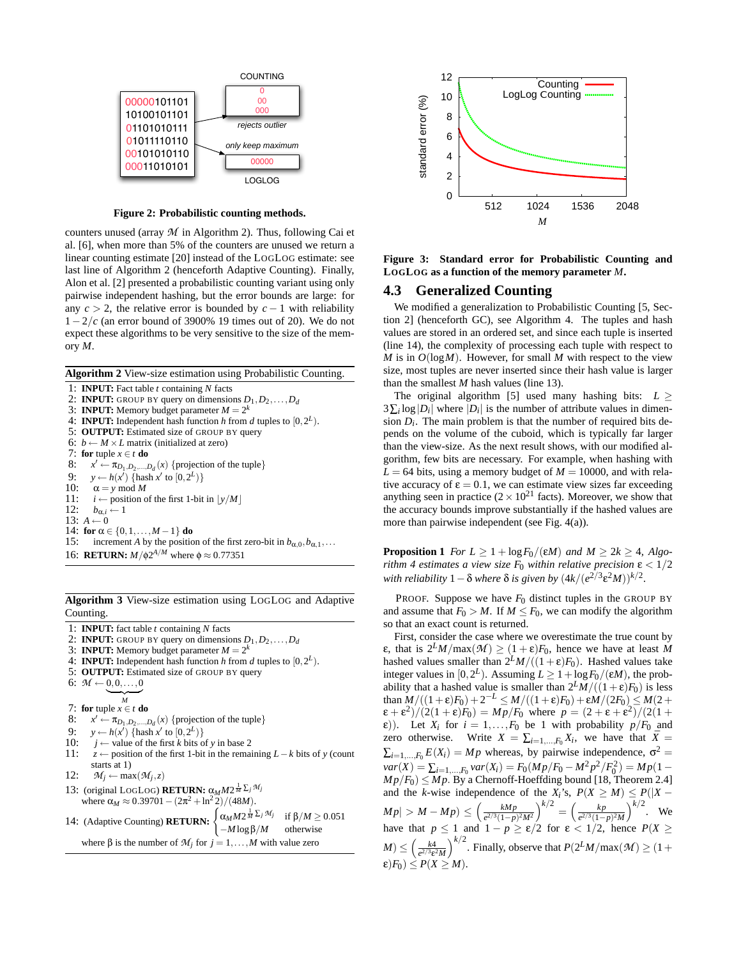

**Figure 2: Probabilistic counting methods.**

counters unused (array *M* in Algorithm 2). Thus, following Cai et al. [6], when more than 5% of the counters are unused we return a linear counting estimate [20] instead of the LOGLOG estimate: see last line of Algorithm 2 (henceforth Adaptive Counting). Finally, Alon et al. [2] presented a probabilistic counting variant using only pairwise independent hashing, but the error bounds are large: for any  $c > 2$ , the relative error is bounded by  $c - 1$  with reliability 1−2/*c* (an error bound of 3900% 19 times out of 20). We do not expect these algorithms to be very sensitive to the size of the memory *M*.

**Algorithm 2** View-size estimation using Probabilistic Counting.

1: **INPUT:** Fact table *t* containing *N* facts 2: **INPUT:** GROUP BY query on dimensions  $D_1, D_2, \ldots, D_d$ 3: **INPUT:** Memory budget parameter  $M = 2^k$ 4: **INPUT:** Independent hash function *h* from *d* tuples to  $[0, 2^L)$ . 5: **OUTPUT:** Estimated size of GROUP BY query 6:  $b \leftarrow M \times L$  matrix (initialized at zero) 7: **for** tuple  $x \in t$  **do** 8:  $x' \leftarrow \pi_{D_1, D_2, \dots, D_d}(x)$  {projection of the tuple} 9:  $y \leftarrow h(x') \{ \text{hash } x' \text{ to } [0, 2^L) \}$ 10:  $\alpha = y \mod M$ <br>11:  $i \leftarrow$  position o 11:  $i \leftarrow$  position of the first 1-bit in  $\lfloor y/M \rfloor$ <br>12:  $h_{\alpha i} \leftarrow 1$  $b_{\alpha,i} \leftarrow 1$ 13:  $A \leftarrow 0$ 14: **for**  $\alpha \in \{0, 1, ..., M - 1\}$  **do** 15: increment *A* by the position of the first zero-bit in  $b_{\alpha,0}, b_{\alpha,1}, \ldots$ 16: **RETURN:**  $M/\phi 2^{A/M}$  where  $\phi \approx 0.77351$ **Figure 2:** Probabilistic counting methods.<br>
Figure 3: Forbalonistic counting methods.<br>
(a) coloring Cai et al. (3) for  $\frac{1}{2}$  for  $\frac{1}{2}$  for  $\frac{1}{2}$  for  $\frac{1}{2}$  for  $\frac{1}{2}$  for  $\frac{1}{2}$  for  $\frac{1}{2}$  for  $\frac$ 

**Algorithm 3** View-size estimation using LOGLOG and Adaptive Counting.

1: **INPUT:** fact table *t* containing *N* facts

- 2: **INPUT:** GROUP BY query on dimensions  $D_1, D_2, \ldots, D_d$
- 3: **INPUT:** Memory budget parameter  $M = 2^k$
- 4: **INPUT:** Independent hash function *h* from *d* tuples to  $[0, 2^L)$ .
- 5: **OUTPUT:** Estimated size of GROUP BY query
- 6:  $M \leftarrow 0, 0, \ldots, 0$

 ${\gamma}$ <sup>*M*</sup>

7: **for** tuple  $x \in t$  **do** 

- 8:  $x' \leftarrow \pi_{D_1, D_2, \dots, D_d}(x)$  {projection of the tuple}
- 9:  $y \leftarrow h(x') \{ \text{hash } x' \text{ to } [0, 2^L) \}$
- 10:  $j \leftarrow$  value of the first *k* bits of *y* in base 2
- 11: *z* ← position of the first 1-bit in the remaining *L*−*k* bits of *y* (count starts at 1)
- 12:  $M_j \leftarrow \max(M_j, z)$
- 13: (original LOGLOG) **RETURN:**  $\alpha_M M 2^{\frac{1}{M} \sum_j M_j}$ where  $\alpha_M \approx 0.39701 - (2\pi^2 + \ln^2 2)/(48M)$ .
- 14: (Adaptive Counting) **RETURN:**  $\begin{cases} \alpha_M M 2^{\frac{1}{M}} \Sigma_j M_j \end{cases}$ if β/*M* ≥ 0.051 −*M* logβ/*M* otherwise



**Figure 3: Standard error for Probabilistic Counting and LOGLOG as a function of the memory parameter** *M***.**

#### **4.3 Generalized Counting**

We modified a generalization to Probabilistic Counting [5, Section 2] (henceforth GC), see Algorithm 4. The tuples and hash values are stored in an ordered set, and since each tuple is inserted (line 14), the complexity of processing each tuple with respect to *M* is in  $O(logM)$ . However, for small *M* with respect to the view size, most tuples are never inserted since their hash value is larger than the smallest *M* hash values (line 13).

The original algorithm [5] used many hashing bits:  $L >$  $3\sum_{i} \log |D_i|$  where  $|D_i|$  is the number of attribute values in dimension  $D_i$ . The main problem is that the number of required bits depends on the volume of the cuboid, which is typically far larger than the view-size. As the next result shows, with our modified algorithm, few bits are necessary. For example, when hashing with  $L = 64$  bits, using a memory budget of  $M = 10000$ , and with relative accuracy of  $\varepsilon = 0.1$ , we can estimate view sizes far exceeding anything seen in practice ( $2 \times 10^{21}$  facts). Moreover, we show that the accuracy bounds improve substantially if the hashed values are more than pairwise independent (see Fig. 4(a)).

**Proposition 1** *For*  $L \geq 1 + \log F_0/(\varepsilon M)$  *and*  $M \geq 2k \geq 4$ *, Algorithm 4 estimates a view size*  $F_0$  *within relative precision*  $\epsilon < 1/2$ *with reliability*  $1 - \delta$  *where*  $\delta$  *is given by*  $(4k/(e^{2/3}\epsilon^2M))^{k/2}$ *.* 

PROOF. Suppose we have  $F_0$  distinct tuples in the GROUP BY and assume that  $F_0 > M$ . If  $M \leq F_0$ , we can modify the algorithm so that an exact count is returned.

First, consider the case where we overestimate the true count by ε, that is 2*LM*/max(*M* ) ≥ (1 + ε)*F*0, hence we have at least *M* hashed values smaller than  $2^LM/((1+\epsilon)F_0)$ . Hashed values take integer values in  $[0, 2^L)$ . Assuming  $L \ge 1 + \log F_0/(\epsilon M)$ , the probability that a hashed value is smaller than  $2^LM/((1+\epsilon)F_0)$  is less than  $M/((1+\varepsilon)F_0) + 2^{-L} \le M/((1+\varepsilon)F_0) + \varepsilon M/(2F_0) \le M(2+\varepsilon)$  $(\varepsilon + \varepsilon^2)/(2(1+\varepsilon)F_0) = Mp/F_0$  where  $p = (2 + \varepsilon + \varepsilon^2)/(2(1+\varepsilon))$  $\epsilon$ )). Let  $X_i$  for  $i = 1, ..., F_0$  be 1 with probability  $p/F_0$  and zero otherwise. Write  $X = \sum_{i=1,\dots,F_0} X_i$ , we have that  $\bar{X} =$  $\sum_{i=1,\dots,F_0} E(X_i) = Mp$  whereas, by pairwise independence,  $\sigma^2 =$  $var(X) = \sum_{i=1,...,F_0} var(X_i) = F_0 \left( M p / F_0 - M^2 p^2 / F_0^2 \right) = M p (1 Mp/F_0$ )  $\leq Mp$ . By a Chernoff-Hoeffding bound [18, Theorem 2.4] and the *k*-wise independence of the  $X_i$ 's,  $P(X \ge M) \le P(|X M p \vert > M - M p$ )  $\leq \left( \frac{k M p}{\sigma^2 \sqrt{3} (1-p)} \right)$  $\frac{kMp}{e^{2/3}(1-p)^2M^2}$  $\Big)^{k/2} = \Big(\frac{kp}{e^{2/3}(1-p)^2M^2}\Big)^{k/2}$  $\frac{kp}{e^{2/3}(1-p)^2M}$ )<sup>k/2</sup>. We have that  $p \le 1$  and  $1 - p \ge \frac{\varepsilon}{2}$  for  $\varepsilon < 1/2$ , hence  $P(X \ge$  $M$ )  $\leq \left(\frac{k4}{e^{2/3}e^{2}M}\right)^{k/2}$ . Finally, observe that  $P(2^LM/\max(M) \geq (1+1)^k$  $\varepsilon$ *)F*<sub>0</sub>)  $\leq$  *P*(*X*  $\geq$  *M*).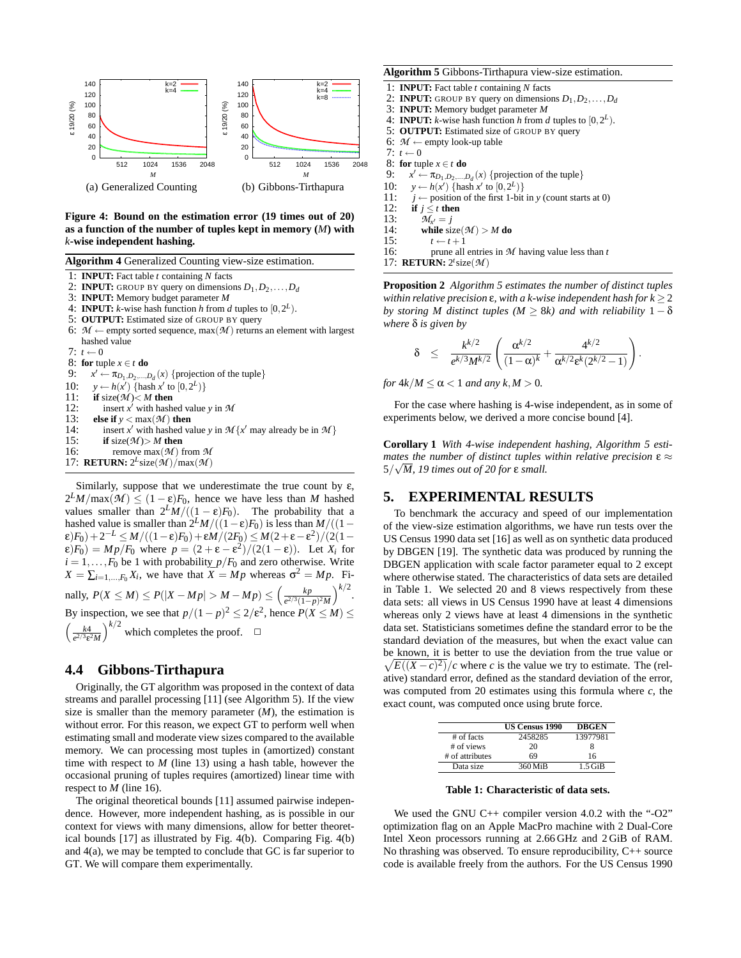

**Figure 4: Bound on the estimation error (19 times out of 20) as a function of the number of tuples kept in memory (***M***) with** *k***-wise independent hashing.**

**Algorithm 4** Generalized Counting view-size estimation.

- 
- 1: **INPUT:** Fact table *t* containing *N* facts **INPUT:** GROUP BY query on dimensions  $D_1, D_2, \ldots, D_d$
- 3: **INPUT:** Memory budget parameter *M*
- 4: **INPUT:** *k*-wise hash function *h* from *d* tuples to  $[0, 2^L)$ .
- 5: **OUTPUT:** Estimated size of GROUP BY query
- 6:  $M \leftarrow$  empty sorted sequence, max( $M$ ) returns an element with largest hashed value
- $7: t \leftarrow 0$

8: **for** tuple  $x \in t$  **do** 

9: *x*  $\overline{\sigma}$  +  $\overline{\pi}_{D_1, D_2, ..., D_d}(x)$  {projection of the tuple} 10: *y* ← *h*(*x'*) {hash *x'* to  $[0,2^L)$ } 11: **if** size( $M$ )< *M* **then**<br>12: **insert**  $x'$  with hashed 12: insert  $x^j$  with hashed value *y* in *M* 13: **else if**  $y < max(M)$  **then**<br>14: **insert** *x'* with hashed values 14: insert *x'* with hashed value *y* in  $\mathcal{M}\lbrace x'$  may already be in  $\mathcal{M}\rbrace$ 15: **if** size( $M$ )> *M* **then**<br>16: **remove** max( $M$ ) 16: remove max(*M* ) from *M* 17: **RETURN:**  $2^{L}$ size( $\mathcal{M}$ )/max( $\mathcal{M}$ )

Similarly, suppose that we underestimate the true count by  $\varepsilon$ ,  $2^LM/\max(\mathcal{M}) \leq (1-\varepsilon)F_0$ , hence we have less than *M* hashed values smaller than  $2^LM/((1 - \varepsilon)F_0)$ . The probability that a hashed value is smaller than  $2^LM/((1-\varepsilon)F_0)$  is less than  $M/((1-\varepsilon)F_0)$  $\epsilon(F_0)+2^{-L} \leq M/((1-\epsilon)F_0)+\epsilon M/(2F_0) \leq M(2+\epsilon-\epsilon^2)/(2(1-\epsilon))$  $\epsilon(F_0) = Mp/F_0$  where  $p = (2 + \epsilon - \epsilon^2)/(2(1 - \epsilon))$ . Let  $X_i$  for  $i = 1, \ldots, F_0$  be 1 with probability  $p/F_0$  and zero otherwise. Write  $X = \sum_{i=1,\dots,F_0} X_i$ , we have that  $\bar{X} = Mp$  whereas  $\sigma^2 = Mp$ . Finally,  $P(X \le M) \le P(|X - Mp| > M - Mp) \le \left(\frac{kp}{\sqrt{p}}\right)^{1/2}$  $\frac{kp}{e^{2/3}(1-p)^2M}$  $\Big)^{k/2}.$ By inspection, we see that  $p/(1-p)^2 \le 2/\varepsilon^2$ , hence  $P(X \le M) \le$  $\left(\frac{k4}{e^{2/3}\varepsilon^2 M}\right)^{k/2}$  which completes the proof.  $\square$ 

## **4.4 Gibbons-Tirthapura**

Originally, the GT algorithm was proposed in the context of data streams and parallel processing [11] (see Algorithm 5). If the view size is smaller than the memory parameter  $(M)$ , the estimation is without error. For this reason, we expect GT to perform well when estimating small and moderate view sizes compared to the available memory. We can processing most tuples in (amortized) constant time with respect to *M* (line 13) using a hash table, however the occasional pruning of tuples requires (amortized) linear time with respect to *M* (line 16).

The original theoretical bounds [11] assumed pairwise independence. However, more independent hashing, as is possible in our context for views with many dimensions, allow for better theoretical bounds [17] as illustrated by Fig. 4(b). Comparing Fig. 4(b) and 4(a), we may be tempted to conclude that GC is far superior to GT. We will compare them experimentally.

#### **Algorithm 5** Gibbons-Tirthapura view-size estimation.

- 1: **INPUT:** Fact table *t* containing *N* facts
- 2: **INPUT:** GROUP BY query on dimensions  $D_1, D_2, \ldots, D_d$
- 3: **INPUT:** Memory budget parameter *M*
- 4: **INPUT:** *k*-wise hash function *h* from *d* tuples to  $[0, 2^L)$ .
- 5: **OUTPUT:** Estimated size of GROUP BY query
- 6:  $M \leftarrow$  empty look-up table
- 7:  $t \leftarrow 0$
- 8: **for** tuple  $x \in t$  **do**
- 9:  $x' \leftarrow \pi_{D_1, D_2, \dots, D_d}(x)$  {projection of the tuple}
- 10: *y* ← *h*(*x'*) {hash *x'* to  $[0,2^L)$ }
- 11: *j* ← position of the first 1-bit in *y* (count starts at 0)
- 12: **if**  $j \le t$  **then**<br>13:  $\mathcal{M}_{x'} = j$
- 13:  $M_{x'} = j$

14: **while** size( $M$ ) > *M* do<br>15:  $t \leftarrow t+1$ 

- 15:  $t \leftarrow t + 1$ <br>16: prune all
- prune all entries in  $M$  having value less than  $t$ 17: **RETURN:** 2 *t* size(*M* )

**Proposition 2** *Algorithm 5 estimates the number of distinct tuples within relative precision* ε*, with a k-wise independent hash for k* ≥ 2 *by storing M distinct tuples (M*  $\geq$  *8k) and with reliability*  $1 - \delta$ *where* δ *is given by*

$$
\delta \quad \leq \quad \frac{k^{k/2}}{e^{k/3}M^{k/2}} \left( \frac{\alpha^{k/2}}{(1-\alpha)^k} + \frac{4^{k/2}}{\alpha^{k/2}\epsilon^k(2^{k/2}-1)} \right).
$$

*for*  $4k/M < \alpha < 1$  *and any*  $k, M > 0$ .

For the case where hashing is 4-wise independent, as in some of experiments below, we derived a more concise bound [4].

**Corollary 1** *With 4-wise independent hashing, Algorithm 5 estimates the number of distinct tuples within relative precision* ε ≈ 5/ *M, 19 times out of 20 for* ε *small.*

#### **5. EXPERIMENTAL RESULTS**

To benchmark the accuracy and speed of our implementation of the view-size estimation algorithms, we have run tests over the US Census 1990 data set [16] as well as on synthetic data produced by DBGEN [19]. The synthetic data was produced by running the DBGEN application with scale factor parameter equal to 2 except where otherwise stated. The characteristics of data sets are detailed in Table 1. We selected 20 and 8 views respectively from these data sets: all views in US Census 1990 have at least 4 dimensions whereas only 2 views have at least 4 dimensions in the synthetic data set. Statisticians sometimes define the standard error to be the standard deviation of the measures, but when the exact value can be known, it is better to use the deviation from the true value or  $\sqrt{E((X-c)^2)}/c$  where *c* is the value we try to estimate. The (relative) standard error, defined as the standard deviation of the error, was computed from 20 estimates using this formula where *c*, the exact count, was computed once using brute force.

|                 | <b>US Census 1990</b> | <b>DBGEN</b> |
|-----------------|-----------------------|--------------|
| $#$ of facts    | 2458285               | 13977981     |
| # of views      | 20                    |              |
| # of attributes | 69                    | 16           |
| Data size       | 360 MiB               | $1.5$ GiB    |

**Table 1: Characteristic of data sets.**

We used the GNU C++ compiler version 4.0.2 with the "-O2" optimization flag on an Apple MacPro machine with 2 Dual-Core Intel Xeon processors running at 2.66 GHz and 2 GiB of RAM. No thrashing was observed. To ensure reproducibility, C++ source code is available freely from the authors. For the US Census 1990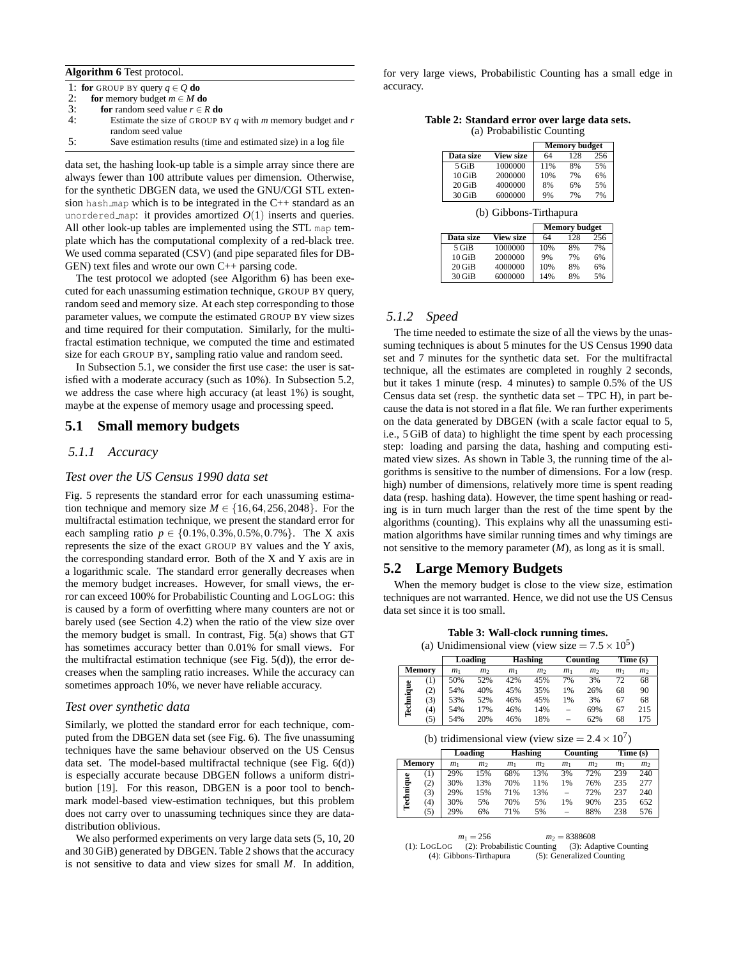|  | Algorithm 6 Test protocol. |
|--|----------------------------|
|--|----------------------------|

|    | 1: for GROUP BY query $q \in Q$ do                             |
|----|----------------------------------------------------------------|
| 2: | for memory budget $m \in M$ do                                 |
| 3: | <b>for</b> random seed value $r \in R$ <b>do</b>               |
| 4: | Estimate the size of GROUP BY q with $m$ memory budget and $r$ |
|    | random seed value                                              |

| ς.<br>$\cdot$ . | Save estimation results (time and estimated size) in a log file |
|-----------------|-----------------------------------------------------------------|

data set, the hashing look-up table is a simple array since there are always fewer than 100 attribute values per dimension. Otherwise, for the synthetic DBGEN data, we used the GNU/CGI STL extension hash map which is to be integrated in the C++ standard as an unordered map: it provides amortized  $O(1)$  inserts and queries. All other look-up tables are implemented using the STL map template which has the computational complexity of a red-black tree. We used comma separated (CSV) (and pipe separated files for DB-GEN) text files and wrote our own C++ parsing code.

The test protocol we adopted (see Algorithm 6) has been executed for each unassuming estimation technique, GROUP BY query, random seed and memory size. At each step corresponding to those parameter values, we compute the estimated GROUP BY view sizes and time required for their computation. Similarly, for the multifractal estimation technique, we computed the time and estimated size for each GROUP BY, sampling ratio value and random seed.

In Subsection 5.1, we consider the first use case: the user is satisfied with a moderate accuracy (such as 10%). In Subsection 5.2, we address the case where high accuracy (at least 1%) is sought, maybe at the expense of memory usage and processing speed.

#### **5.1 Small memory budgets**

#### *5.1.1 Accuracy*

#### *Test over the US Census 1990 data set*

Fig. 5 represents the standard error for each unassuming estimation technique and memory size  $M \in \{16, 64, 256, 2048\}$ . For the multifractal estimation technique, we present the standard error for each sampling ratio  $p \in \{0.1\%, 0.3\%, 0.5\%, 0.7\% \}$ . The X axis represents the size of the exact GROUP BY values and the Y axis, the corresponding standard error. Both of the X and Y axis are in a logarithmic scale. The standard error generally decreases when the memory budget increases. However, for small views, the error can exceed 100% for Probabilistic Counting and LOGLOG: this is caused by a form of overfitting where many counters are not or barely used (see Section 4.2) when the ratio of the view size over the memory budget is small. In contrast, Fig. 5(a) shows that GT has sometimes accuracy better than 0.01% for small views. For the multifractal estimation technique (see Fig. 5(d)), the error decreases when the sampling ratio increases. While the accuracy can sometimes approach 10%, we never have reliable accuracy.

#### *Test over synthetic data*

Similarly, we plotted the standard error for each technique, computed from the DBGEN data set (see Fig. 6). The five unassuming techniques have the same behaviour observed on the US Census data set. The model-based multifractal technique (see Fig. 6(d)) is especially accurate because DBGEN follows a uniform distribution [19]. For this reason, DBGEN is a poor tool to benchmark model-based view-estimation techniques, but this problem does not carry over to unassuming techniques since they are datadistribution oblivious.

We also performed experiments on very large data sets (5, 10, 20 and 30 GiB) generated by DBGEN. Table 2 shows that the accuracy is not sensitive to data and view sizes for small *M*. In addition,

for very large views, Probabilistic Counting has a small edge in accuracy.

**Table 2: Standard error over large data sets.** (a) Probabilistic Counting

|           |                  |     | <b>Memory budget</b> |     |
|-----------|------------------|-----|----------------------|-----|
| Data size | <b>View size</b> | 64  | 128                  | 256 |
| $5$ GiB   | 1000000          | 11% | 8%                   | 5%  |
| $10$ GiB  | 2000000          | 10% | 7%                   | 6%  |
| $20$ GiB  | 4000000          | 8%  | 6%                   | 5%  |
| $30$ GiB  | 6000000          | 9%  | 7%                   | 7%  |

(b) Gibbons-Tirthapura

|           |                  |     | <b>Memory budget</b> |     |
|-----------|------------------|-----|----------------------|-----|
| Data size | <b>View size</b> | 64  | 128                  | 256 |
| $5$ GiB   | 1000000          | 10% | 8%                   | 7%  |
| $10$ GiB  | 2000000          | 9%  | 7%                   | 6%  |
| $20$ GiB  | 4000000          | 10% | 8%                   | 6%  |
| $30$ GiB  | 6000000          | 14% | 8%                   | 5%  |

#### *5.1.2 Speed*

The time needed to estimate the size of all the views by the unassuming techniques is about 5 minutes for the US Census 1990 data set and 7 minutes for the synthetic data set. For the multifractal technique, all the estimates are completed in roughly 2 seconds, but it takes 1 minute (resp. 4 minutes) to sample 0.5% of the US Census data set (resp. the synthetic data set – TPC H), in part because the data is not stored in a flat file. We ran further experiments on the data generated by DBGEN (with a scale factor equal to 5, i.e., 5 GiB of data) to highlight the time spent by each processing step: loading and parsing the data, hashing and computing estimated view sizes. As shown in Table 3, the running time of the algorithms is sensitive to the number of dimensions. For a low (resp. high) number of dimensions, relatively more time is spent reading data (resp. hashing data). However, the time spent hashing or reading is in turn much larger than the rest of the time spent by the algorithms (counting). This explains why all the unassuming estimation algorithms have similar running times and why timings are not sensitive to the memory parameter (*M*), as long as it is small.

## **5.2 Large Memory Budgets**

When the memory budget is close to the view size, estimation techniques are not warranted. Hence, we did not use the US Census data set since it is too small.

**Table 3: Wall-clock running times.**

| (a) Unidimensional view (view size $= 7.5 \times 10^5$ ) |  |  |  |
|----------------------------------------------------------|--|--|--|

|           |                     |                | Loading        |                | <b>Hashing</b> |                          | Counting       |                | Time(s)        |
|-----------|---------------------|----------------|----------------|----------------|----------------|--------------------------|----------------|----------------|----------------|
|           | Memory              | m <sub>1</sub> | m <sub>2</sub> | m <sub>1</sub> | m <sub>2</sub> | m <sub>1</sub>           | m <sub>2</sub> | m <sub>1</sub> | m <sub>2</sub> |
|           | $\scriptstyle{(1)}$ | 50%            | 52%            | 42%            | 45%            | 7%                       | 3%             | 72             | 68             |
|           | (2)                 | 54%            | 40%            | 45%            | 35%            | 1%                       | 26%            | 68             | 90             |
|           | (3)                 | 53%            | 52%            | 46%            | 45%            | 1%                       | 3%             | 67             | 68             |
| Technique | (4)                 | 54%            | 17%            | 46%            | 14%            | $\overline{\phantom{0}}$ | 69%            | 67             | 215            |
|           | (5)                 | 54%            | 20%            | 46%            | 18%            | -                        | 62%            | 68             | 175            |

(b) tridimensional view (view size  $= 2.4 \times 10^7$ )

|           |        |                | Loading        |                | <b>Hashing</b> |                          | Counting       |                | Time (s)       |
|-----------|--------|----------------|----------------|----------------|----------------|--------------------------|----------------|----------------|----------------|
|           | Memory | m <sub>1</sub> | m <sub>2</sub> | m <sub>1</sub> | m <sub>2</sub> | m <sub>1</sub>           | m <sub>2</sub> | m <sub>1</sub> | m <sub>2</sub> |
|           | (1)    | 29%            | 15%            | 68%            | 13%            | 3%                       | 72%            | 239            | 240            |
|           | (2)    | 30%            | 13%            | 70%            | 11%            | 1%                       | 76%            | 235            | 277            |
| Technique | (3)    | 29%            | 15%            | 71%            | 13%            | -                        | 72%            | 237            | 240            |
|           | (4)    | 30%            | 5%             | 70%            | 5%             | 1%                       | 90%            | 235            | 652            |
|           | (5)    | 29%            | 6%             | 71%            | 5%             | $\overline{\phantom{a}}$ | 88%            | 238            | 576            |

|             | $m_1 = 256$                 | $m_2 = 8388608$           |
|-------------|-----------------------------|---------------------------|
| (1): LogLog | (2): Probabilistic Counting | (3): Adaptive Counting    |
|             | (4): Gibbons-Tirthapura     | (5): Generalized Counting |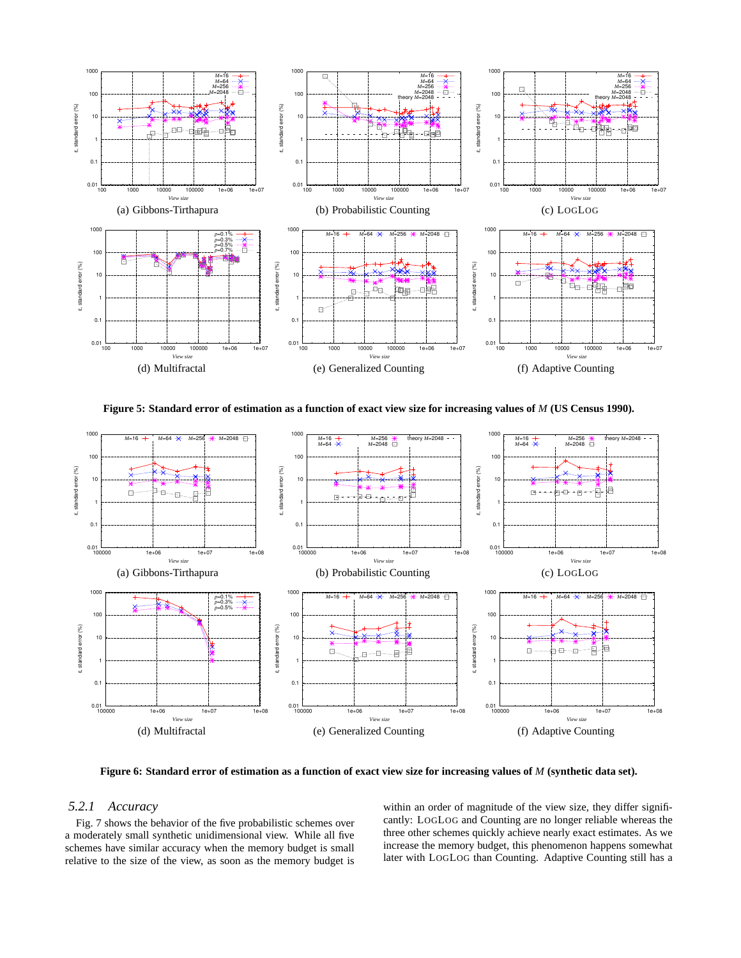

**Figure 5: Standard error of estimation as a function of exact view size for increasing values of** *M* **(US Census 1990).**



**Figure 6: Standard error of estimation as a function of exact view size for increasing values of** *M* **(synthetic data set).**

#### *5.2.1 Accuracy*

Fig. 7 shows the behavior of the five probabilistic schemes over a moderately small synthetic unidimensional view. While all five schemes have similar accuracy when the memory budget is small relative to the size of the view, as soon as the memory budget is within an order of magnitude of the view size, they differ significantly: LOGLOG and Counting are no longer reliable whereas the three other schemes quickly achieve nearly exact estimates. As we increase the memory budget, this phenomenon happens somewhat later with LOGLOG than Counting. Adaptive Counting still has a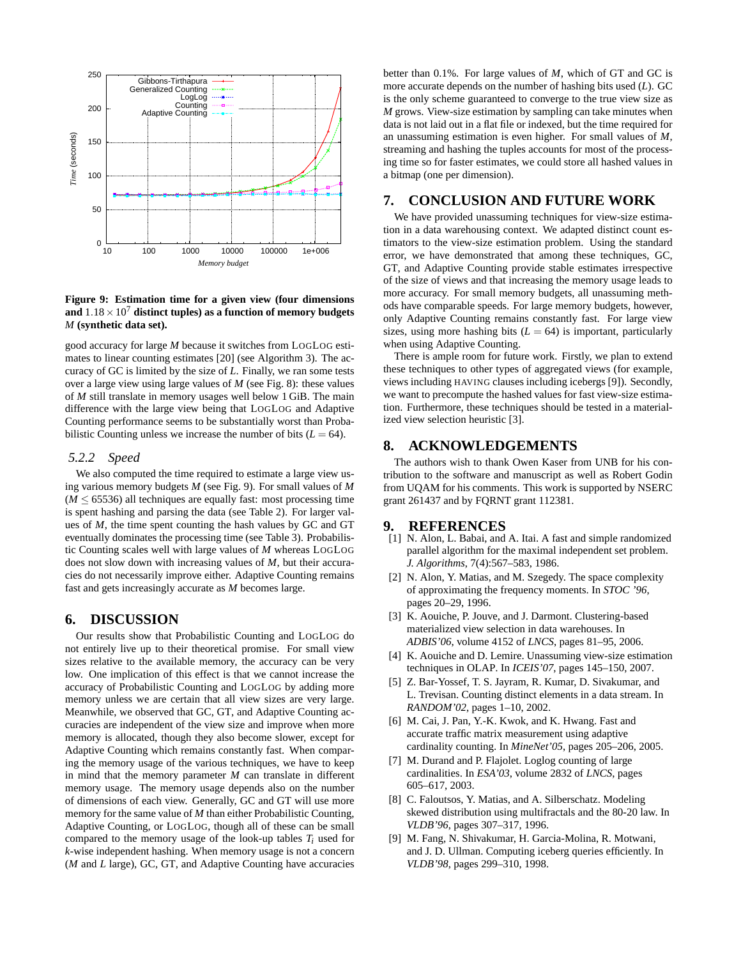

**Figure 9: Estimation time for a given view (four dimensions** and  $1.18 \times 10^7$  distinct tuples) as a function of memory budgets *M* **(synthetic data set).**

good accuracy for large *M* because it switches from LOGLOG estimates to linear counting estimates [20] (see Algorithm 3). The accuracy of GC is limited by the size of *L*. Finally, we ran some tests over a large view using large values of *M* (see Fig. 8): these values of *M* still translate in memory usages well below 1 GiB. The main difference with the large view being that LOGLOG and Adaptive Counting performance seems to be substantially worst than Probabilistic Counting unless we increase the number of bits  $(L = 64)$ .

#### *5.2.2 Speed*

We also computed the time required to estimate a large view using various memory budgets *M* (see Fig. 9). For small values of *M*  $(M \leq 65536)$  all techniques are equally fast: most processing time is spent hashing and parsing the data (see Table 2). For larger values of *M*, the time spent counting the hash values by GC and GT eventually dominates the processing time (see Table 3). Probabilistic Counting scales well with large values of *M* whereas LOGLOG does not slow down with increasing values of *M*, but their accuracies do not necessarily improve either. Adaptive Counting remains fast and gets increasingly accurate as *M* becomes large.

#### **6. DISCUSSION**

Our results show that Probabilistic Counting and LOGLOG do not entirely live up to their theoretical promise. For small view sizes relative to the available memory, the accuracy can be very low. One implication of this effect is that we cannot increase the accuracy of Probabilistic Counting and LOGLOG by adding more memory unless we are certain that all view sizes are very large. Meanwhile, we observed that GC, GT, and Adaptive Counting accuracies are independent of the view size and improve when more memory is allocated, though they also become slower, except for Adaptive Counting which remains constantly fast. When comparing the memory usage of the various techniques, we have to keep in mind that the memory parameter *M* can translate in different memory usage. The memory usage depends also on the number of dimensions of each view. Generally, GC and GT will use more memory for the same value of *M* than either Probabilistic Counting, Adaptive Counting, or LOGLOG, though all of these can be small compared to the memory usage of the look-up tables  $T_i$  used for *k*-wise independent hashing. When memory usage is not a concern (*M* and *L* large), GC, GT, and Adaptive Counting have accuracies

better than 0.1%. For large values of *M*, which of GT and GC is more accurate depends on the number of hashing bits used (*L*). GC is the only scheme guaranteed to converge to the true view size as *M* grows. View-size estimation by sampling can take minutes when data is not laid out in a flat file or indexed, but the time required for an unassuming estimation is even higher. For small values of *M*, streaming and hashing the tuples accounts for most of the processing time so for faster estimates, we could store all hashed values in a bitmap (one per dimension).

## **7. CONCLUSION AND FUTURE WORK**

We have provided unassuming techniques for view-size estimation in a data warehousing context. We adapted distinct count estimators to the view-size estimation problem. Using the standard error, we have demonstrated that among these techniques, GC, GT, and Adaptive Counting provide stable estimates irrespective of the size of views and that increasing the memory usage leads to more accuracy. For small memory budgets, all unassuming methods have comparable speeds. For large memory budgets, however, only Adaptive Counting remains constantly fast. For large view sizes, using more hashing bits  $(L = 64)$  is important, particularly when using Adaptive Counting.

There is ample room for future work. Firstly, we plan to extend these techniques to other types of aggregated views (for example, views including HAVING clauses including icebergs [9]). Secondly, we want to precompute the hashed values for fast view-size estimation. Furthermore, these techniques should be tested in a materialized view selection heuristic [3].

# **8. ACKNOWLEDGEMENTS**

The authors wish to thank Owen Kaser from UNB for his contribution to the software and manuscript as well as Robert Godin from UQAM for his comments. This work is supported by NSERC grant 261437 and by FQRNT grant 112381.

#### **9. REFERENCES**

- [1] N. Alon, L. Babai, and A. Itai. A fast and simple randomized parallel algorithm for the maximal independent set problem. *J. Algorithms*, 7(4):567–583, 1986.
- [2] N. Alon, Y. Matias, and M. Szegedy. The space complexity of approximating the frequency moments. In *STOC '96*, pages 20–29, 1996.
- [3] K. Aouiche, P. Jouve, and J. Darmont. Clustering-based materialized view selection in data warehouses. In *ADBIS'06*, volume 4152 of *LNCS*, pages 81–95, 2006.
- [4] K. Aouiche and D. Lemire. Unassuming view-size estimation techniques in OLAP. In *ICEIS'07*, pages 145–150, 2007.
- [5] Z. Bar-Yossef, T. S. Jayram, R. Kumar, D. Sivakumar, and L. Trevisan. Counting distinct elements in a data stream. In *RANDOM'02*, pages 1–10, 2002.
- [6] M. Cai, J. Pan, Y.-K. Kwok, and K. Hwang. Fast and accurate traffic matrix measurement using adaptive cardinality counting. In *MineNet'05*, pages 205–206, 2005.
- [7] M. Durand and P. Flajolet. Loglog counting of large cardinalities. In *ESA'03*, volume 2832 of *LNCS*, pages 605–617, 2003.
- [8] C. Faloutsos, Y. Matias, and A. Silberschatz. Modeling skewed distribution using multifractals and the 80-20 law. In *VLDB'96*, pages 307–317, 1996.
- [9] M. Fang, N. Shivakumar, H. Garcia-Molina, R. Motwani, and J. D. Ullman. Computing iceberg queries efficiently. In *VLDB'98*, pages 299–310, 1998.